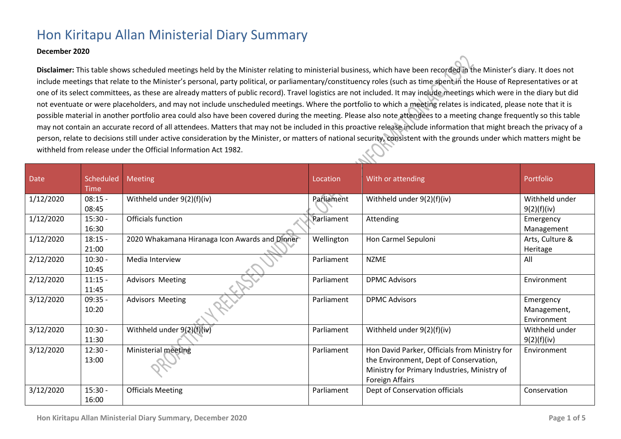## Hon Kiritapu Allan Ministerial Diary Summary

## **December 2020**

**Disclaimer:** This table shows scheduled meetings held by the Minister relating to ministerial business, which have been recorded in the Minister's diary. It does not include meetings that relate to the Minister's personal, party political, or parliamentary/constituency roles (such as time spent in the House of Representatives or at one of its select committees, as these are already matters of public record). Travel logistics are not included. It may include meetings which were in the diary but did not eventuate or were placeholders, and may not include unscheduled meetings. Where the portfolio to which a meeting relates is indicated, please note that it is possible material in another portfolio area could also have been covered during the meeting. Please also note attendees to a meeting change frequently so this table may not contain an accurate record of all attendees. Matters that may not be included in this proactive release include information that might breach the privacy of a person, relate to decisions still under active consideration by the Minister, or matters of national security, consistent with the grounds under which matters might be withheld from release under the Official Information Act 1982.

| <b>Date</b> | Scheduled<br><b>Time</b> | <b>Meeting</b>                                 | Location   | With or attending                                                                                                                                          | Portfolio                               |
|-------------|--------------------------|------------------------------------------------|------------|------------------------------------------------------------------------------------------------------------------------------------------------------------|-----------------------------------------|
| 1/12/2020   | $08:15 -$<br>08:45       | Withheld under $9(2)(f)(iv)$                   | Parliament | Withheld under 9(2)(f)(iv)                                                                                                                                 | Withheld under<br>9(2)(f)(iv)           |
| 1/12/2020   | $15:30 -$<br>16:30       | Officials function                             | Parliament | Attending                                                                                                                                                  | Emergency<br>Management                 |
| 1/12/2020   | $18:15 -$<br>21:00       | 2020 Whakamana Hiranaga Icon Awards and Dinner | Wellington | Hon Carmel Sepuloni                                                                                                                                        | Arts, Culture &<br>Heritage             |
| 2/12/2020   | $10:30 -$<br>10:45       | Media Interview                                | Parliament | <b>NZME</b>                                                                                                                                                | All                                     |
| 2/12/2020   | $11:15 -$<br>11:45       | <b>Advisors Meeting</b>                        | Parliament | <b>DPMC Advisors</b>                                                                                                                                       | Environment                             |
| 3/12/2020   | $09:35 -$<br>10:20       | <b>Advisors Meeting</b>                        | Parliament | <b>DPMC Advisors</b>                                                                                                                                       | Emergency<br>Management,<br>Environment |
| 3/12/2020   | $10:30 -$<br>11:30       | Withheld under 9(2)(f)(iv)                     | Parliament | Withheld under 9(2)(f)(iv)                                                                                                                                 | Withheld under<br>9(2)(f)(iv)           |
| 3/12/2020   | $12:30 -$<br>13:00       | Ministerial meeting                            | Parliament | Hon David Parker, Officials from Ministry for<br>the Environment, Dept of Conservation,<br>Ministry for Primary Industries, Ministry of<br>Foreign Affairs | Environment                             |
| 3/12/2020   | $15:30 -$<br>16:00       | <b>Officials Meeting</b>                       | Parliament | Dept of Conservation officials                                                                                                                             | Conservation                            |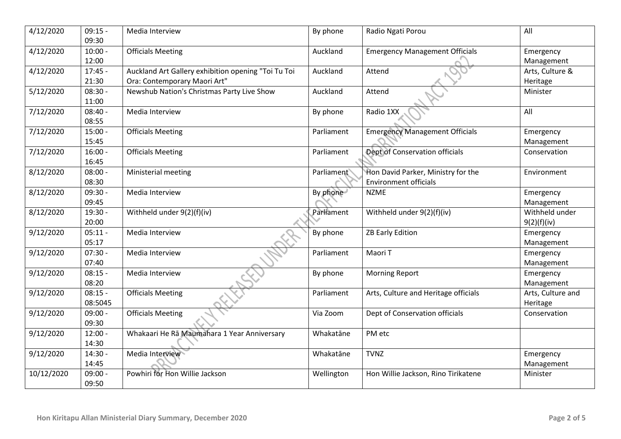| 4/12/2020  | $09:15 -$<br>09:30 | Media Interview                                     | By phone                | Radio Ngati Porou                     | All               |
|------------|--------------------|-----------------------------------------------------|-------------------------|---------------------------------------|-------------------|
| 4/12/2020  | $10:00 -$          | <b>Officials Meeting</b>                            | Auckland                | <b>Emergency Management Officials</b> | Emergency         |
|            | 12:00              |                                                     |                         |                                       | Management        |
| 4/12/2020  | $17:45 -$          | Auckland Art Gallery exhibition opening "Toi Tu Toi | Auckland                | Attend                                | Arts, Culture &   |
|            | 21:30              | Ora: Contemporary Maori Art"                        |                         |                                       | Heritage          |
| 5/12/2020  | $08:30 -$          | Newshub Nation's Christmas Party Live Show          | Auckland                | Attend                                | Minister          |
|            | 11:00              |                                                     |                         |                                       |                   |
| 7/12/2020  | $08:40 -$          | Media Interview                                     | By phone                | Radio 1XX                             | All               |
|            | 08:55              |                                                     |                         |                                       |                   |
| 7/12/2020  | $15:00 -$          | <b>Officials Meeting</b>                            | Parliament              | <b>Emergency Management Officials</b> | Emergency         |
|            | 15:45              |                                                     |                         |                                       | Management        |
| 7/12/2020  | $16:00 -$          | <b>Officials Meeting</b>                            | Parliament              | Dept of Conservation officials        | Conservation      |
|            | 16:45              |                                                     |                         |                                       |                   |
| 8/12/2020  | $08:00 -$          | Ministerial meeting                                 | Parliament <sup>®</sup> | Hon David Parker, Ministry for the    | Environment       |
|            | 08:30              |                                                     |                         | <b>Environment officials</b>          |                   |
| 8/12/2020  | $09:30 -$          | Media Interview                                     | By phone                | <b>NZME</b>                           | Emergency         |
|            | 09:45              |                                                     |                         |                                       | Management        |
| 8/12/2020  | 19:30 -            | Withheld under 9(2)(f)(iv)                          | Parliament              | Withheld under 9(2)(f)(iv)            | Withheld under    |
|            | 20:00              |                                                     |                         |                                       | 9(2)(f)(iv)       |
| 9/12/2020  | $05:11 -$          | Media Interview                                     | By phone                | <b>ZB Early Edition</b>               | Emergency         |
|            | 05:17              |                                                     |                         |                                       | Management        |
| 9/12/2020  | $07:30 -$          | Media Interview                                     | Parliament              | Maori T                               | Emergency         |
|            | 07:40              |                                                     |                         |                                       | Management        |
| 9/12/2020  | $08:15 -$          | Media Interview                                     | By phone                | <b>Morning Report</b>                 | Emergency         |
|            | 08:20              |                                                     |                         |                                       | Management        |
| 9/12/2020  | $08:15 -$          | <b>Officials Meeting</b>                            | Parliament              | Arts, Culture and Heritage officials  | Arts, Culture and |
|            | 08:5045            |                                                     |                         |                                       | Heritage          |
| 9/12/2020  | $09:00 -$          | <b>Officials Meeting</b>                            | Via Zoom                | Dept of Conservation officials        | Conservation      |
|            | 09:30              |                                                     |                         |                                       |                   |
| 9/12/2020  | $12:00 -$          | Whakaari He Rā Maumahara 1 Year Anniversary         | Whakatāne               | PM etc                                |                   |
|            | 14:30              |                                                     |                         |                                       |                   |
| 9/12/2020  | $14:30 -$          | Media Interview                                     | Whakatāne               | <b>TVNZ</b>                           | Emergency         |
|            | 14:45              |                                                     |                         |                                       | Management        |
| 10/12/2020 | $09:00 -$          | Powhiri for Hon Willie Jackson                      | Wellington              | Hon Willie Jackson, Rino Tirikatene   | Minister          |
|            | 09:50              |                                                     |                         |                                       |                   |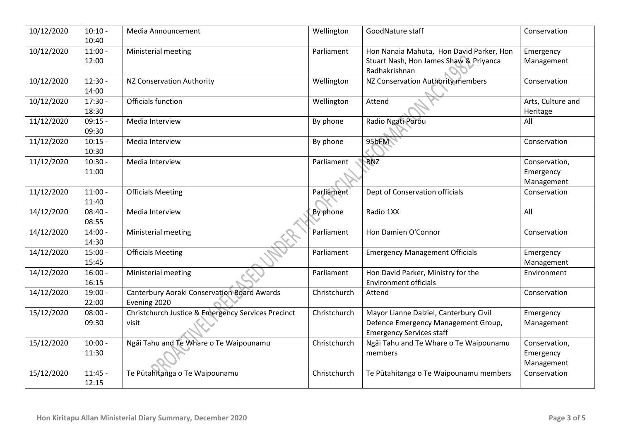| 10/12/2020 | $10:10 -$<br>10:40 | Media Announcement                                 | Wellington   | GoodNature staff                                        | Conservation      |
|------------|--------------------|----------------------------------------------------|--------------|---------------------------------------------------------|-------------------|
| 10/12/2020 | $11:00 -$          | Ministerial meeting                                | Parliament   | Hon Nanaia Mahuta, Hon David Parker, Hon                | Emergency         |
|            | 12:00              |                                                    |              | Stuart Nash, Hon James Shaw & Priyanca<br>Radhakrishnan | Management        |
| 10/12/2020 | $12:30 -$          | NZ Conservation Authority                          | Wellington   | NZ Conservation Authority members                       | Conservation      |
|            | 14:00              |                                                    |              |                                                         |                   |
| 10/12/2020 | $17:30 -$          | Officials function                                 | Wellington   | Attend                                                  | Arts, Culture and |
|            | 18:30              |                                                    |              |                                                         | Heritage          |
| 11/12/2020 | $09:15 -$          | Media Interview                                    | By phone     | Radio Ngati Porou                                       | All               |
|            | 09:30              |                                                    |              |                                                         |                   |
| 11/12/2020 | $10:15 -$          | Media Interview                                    | By phone     | 95bFM                                                   | Conservation      |
|            | 10:30              |                                                    |              |                                                         |                   |
| 11/12/2020 | $10:30 -$          | Media Interview                                    | Parliament   | <b>RNZ</b>                                              | Conservation,     |
|            | 11:00              |                                                    |              |                                                         | Emergency         |
|            |                    |                                                    |              |                                                         | Management        |
| 11/12/2020 | $11:00 -$          | <b>Officials Meeting</b>                           | Parliament   | Dept of Conservation officials                          | Conservation      |
|            | 11:40              |                                                    |              |                                                         |                   |
| 14/12/2020 | $08:40 -$          | Media Interview                                    | By phone     | Radio 1XX                                               | All               |
|            | 08:55              |                                                    |              |                                                         |                   |
| 14/12/2020 | $14:00 -$          | Ministerial meeting                                | Parliament   | Hon Damien O'Connor                                     | Conservation      |
|            | 14:30              |                                                    |              |                                                         |                   |
| 14/12/2020 | $15:00 -$          | <b>Officials Meeting</b>                           | Parliament   | <b>Emergency Management Officials</b>                   | Emergency         |
|            | 15:45              |                                                    |              |                                                         | Management        |
| 14/12/2020 | $16:00 -$          | Ministerial meeting                                | Parliament   | Hon David Parker, Ministry for the                      | Environment       |
|            | 16:15              |                                                    |              | <b>Environment officials</b>                            |                   |
| 14/12/2020 | 19:00 -            | <b>Canterbury Aoraki Conservation Board Awards</b> | Christchurch | Attend                                                  | Conservation      |
|            | 22:00              | Evening 2020                                       |              |                                                         |                   |
| 15/12/2020 | $08:00 -$          | Christchurch Justice & Emergency Services Precinct | Christchurch | Mayor Lianne Dalziel, Canterbury Civil                  | Emergency         |
|            | 09:30              | visit                                              |              | Defence Emergency Management Group,                     | Management        |
|            |                    |                                                    |              | <b>Emergency Services staff</b>                         |                   |
| 15/12/2020 | $10:00 -$          | Ngāi Tahu and Te Whare o Te Waipounamu             | Christchurch | Ngāi Tahu and Te Whare o Te Waipounamu                  | Conservation,     |
|            | 11:30              |                                                    |              | members                                                 | Emergency         |
|            |                    |                                                    |              |                                                         | Management        |
| 15/12/2020 | $11:45 -$          | Te Pūtahitanga o Te Waipounamu                     | Christchurch | Te Pūtahitanga o Te Waipounamu members                  | Conservation      |
|            | 12:15              |                                                    |              |                                                         |                   |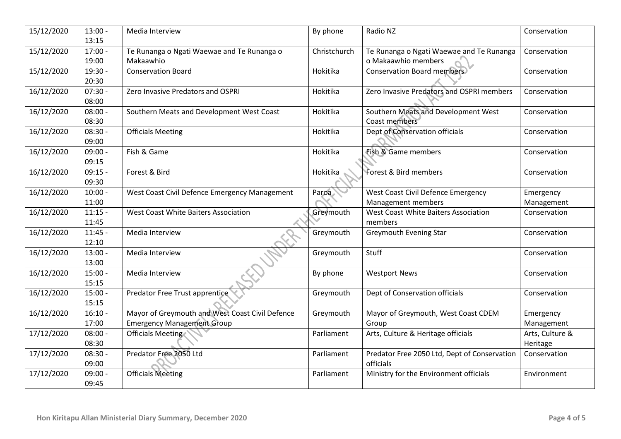| 15/12/2020 | $13:00 -$<br>13:15 | Media Interview                                                                      | By phone     | Radio NZ                                                        | Conservation                |
|------------|--------------------|--------------------------------------------------------------------------------------|--------------|-----------------------------------------------------------------|-----------------------------|
| 15/12/2020 | $17:00 -$<br>19:00 | Te Runanga o Ngati Waewae and Te Runanga o<br>Makaawhio                              | Christchurch | Te Runanga o Ngati Waewae and Te Runanga<br>o Makaawhio members | Conservation                |
| 15/12/2020 | 19:30 -<br>20:30   | <b>Conservation Board</b>                                                            | Hokitika     | <b>Conservation Board members</b>                               | Conservation                |
| 16/12/2020 | $07:30 -$<br>08:00 | Zero Invasive Predators and OSPRI                                                    | Hokitika     | Zero Invasive Predators and OSPRI members                       | Conservation                |
| 16/12/2020 | $08:00 -$<br>08:30 | Southern Meats and Development West Coast                                            | Hokitika     | Southern Meats and Development West<br>Coast members            | Conservation                |
| 16/12/2020 | $08:30 -$<br>09:00 | <b>Officials Meeting</b>                                                             | Hokitika     | Dept of Conservation officials                                  | Conservation                |
| 16/12/2020 | $09:00 -$<br>09:15 | Fish & Game                                                                          | Hokitika     | Fish & Game members                                             | Conservation                |
| 16/12/2020 | $09:15 -$<br>09:30 | Forest & Bird                                                                        | Hokitika     | <b>Forest &amp; Bird members</b>                                | Conservation                |
| 16/12/2020 | $10:00 -$<br>11:00 | West Coast Civil Defence Emergency Management                                        | Paroa        | West Coast Civil Defence Emergency<br>Management members        | Emergency<br>Management     |
| 16/12/2020 | $11:15 -$<br>11:45 | <b>West Coast White Baiters Association</b>                                          | Greymouth    | West Coast White Baiters Association<br>members                 | Conservation                |
| 16/12/2020 | $11:45 -$<br>12:10 | Media Interview                                                                      | Greymouth    | <b>Greymouth Evening Star</b>                                   | Conservation                |
| 16/12/2020 | $13:00 -$<br>13:00 | Media Interview                                                                      | Greymouth    | Stuff                                                           | Conservation                |
| 16/12/2020 | $15:00 -$<br>15:15 | Media Interview                                                                      | By phone     | <b>Westport News</b>                                            | Conservation                |
| 16/12/2020 | $15:00 -$<br>15:15 | Predator Free Trust apprentice                                                       | Greymouth    | Dept of Conservation officials                                  | Conservation                |
| 16/12/2020 | $16:10 -$<br>17:00 | Mayor of Greymouth and West Coast Civil Defence<br><b>Emergency Management Group</b> | Greymouth    | Mayor of Greymouth, West Coast CDEM<br>Group                    | Emergency<br>Management     |
| 17/12/2020 | $08:00 -$<br>08:30 | Officials Meeting                                                                    | Parliament   | Arts, Culture & Heritage officials                              | Arts, Culture &<br>Heritage |
| 17/12/2020 | $08:30 -$<br>09:00 | Predator Free 2050 Ltd                                                               | Parliament   | Predator Free 2050 Ltd, Dept of Conservation<br>officials       | Conservation                |
| 17/12/2020 | $09:00 -$<br>09:45 | <b>Officials Meeting</b>                                                             | Parliament   | Ministry for the Environment officials                          | Environment                 |